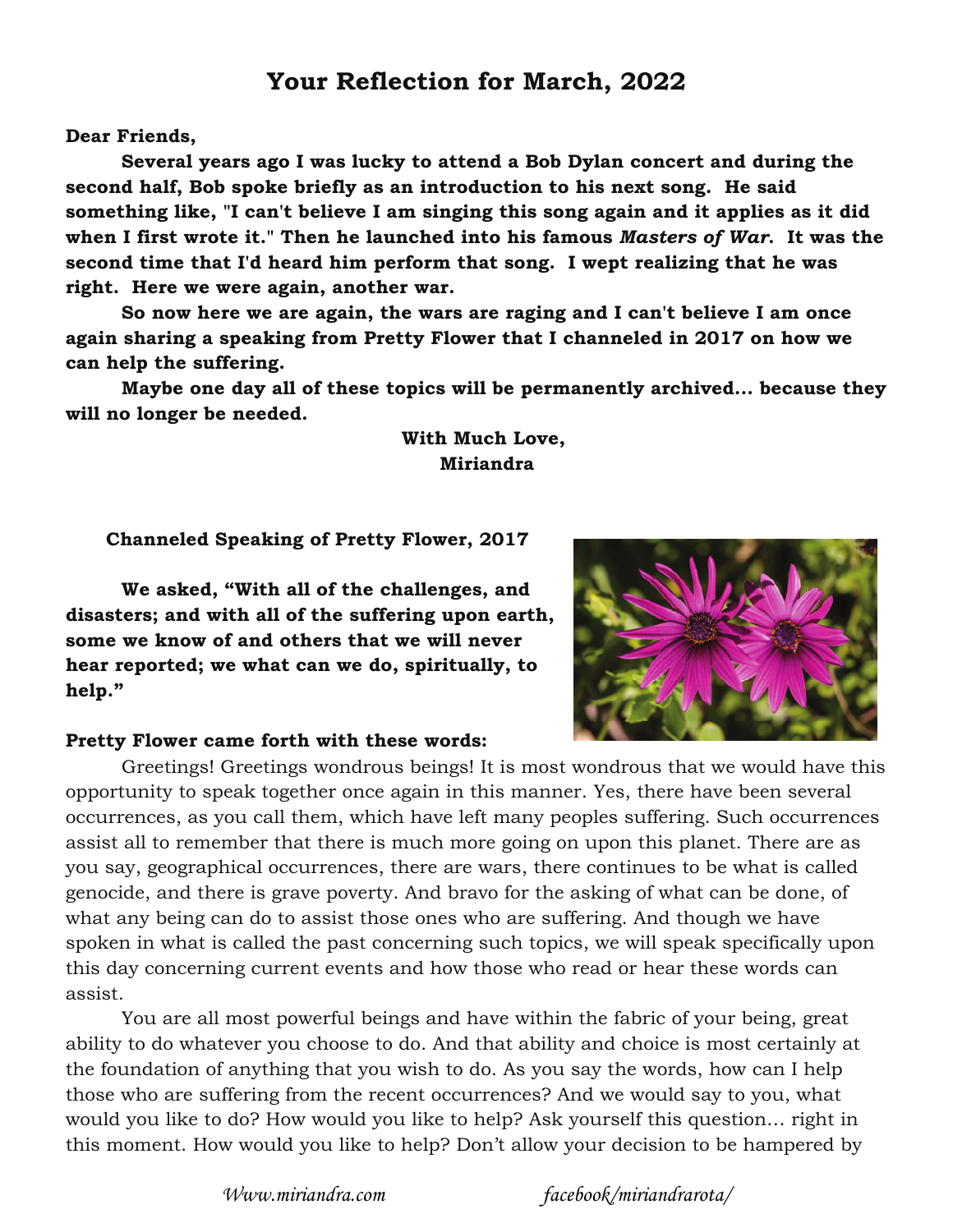## **Your Reflection for March, 2022**

**Dear Friends,** 

**Several years ago I was lucky to attend a Bob Dylan concert and during the second half, Bob spoke briefly as an introduction to his next song. He said something like, "I can't believe I am singing this song again and it applies as it did when I first wrote it." Then he launched into his famous** *Masters of War***. It was the second time that I'd heard him perform that song. I wept realizing that he was right. Here we were again, another war.** 

**So now here we are again, the wars are raging and I can't believe I am once again sharing a speaking from Pretty Flower that I channeled in 2017 on how we can help the suffering.** 

**Maybe one day all of these topics will be permanently archived... because they will no longer be needed.** 

## **With Much Love, Miriandra**

**Channeled Speaking of Pretty Flower, 2017** 

**We asked, "With all of the challenges, and disasters; and with all of the suffering upon earth, some we know of and others that we will never hear reported; we what can we do, spiritually, to help."** 



## **Pretty Flower came forth with these words:**

Greetings! Greetings wondrous beings! It is most wondrous that we would have this opportunity to speak together once again in this manner. Yes, there have been several occurrences, as you call them, which have left many peoples suffering. Such occurrences assist all to remember that there is much more going on upon this planet. There are as you say, geographical occurrences, there are wars, there continues to be what is called genocide, and there is grave poverty. And bravo for the asking of what can be done, of what any being can do to assist those ones who are suffering. And though we have spoken in what is called the past concerning such topics, we will speak specifically upon this day concerning current events and how those who read or hear these words can assist.

You are all most powerful beings and have within the fabric of your being, great ability to do whatever you choose to do. And that ability and choice is most certainly at the foundation of anything that you wish to do. As you say the words, how can I help those who are suffering from the recent occurrences? And we would say to you, what would you like to do? How would you like to help? Ask yourself this question… right in this moment. How would you like to help? Don't allow your decision to be hampered by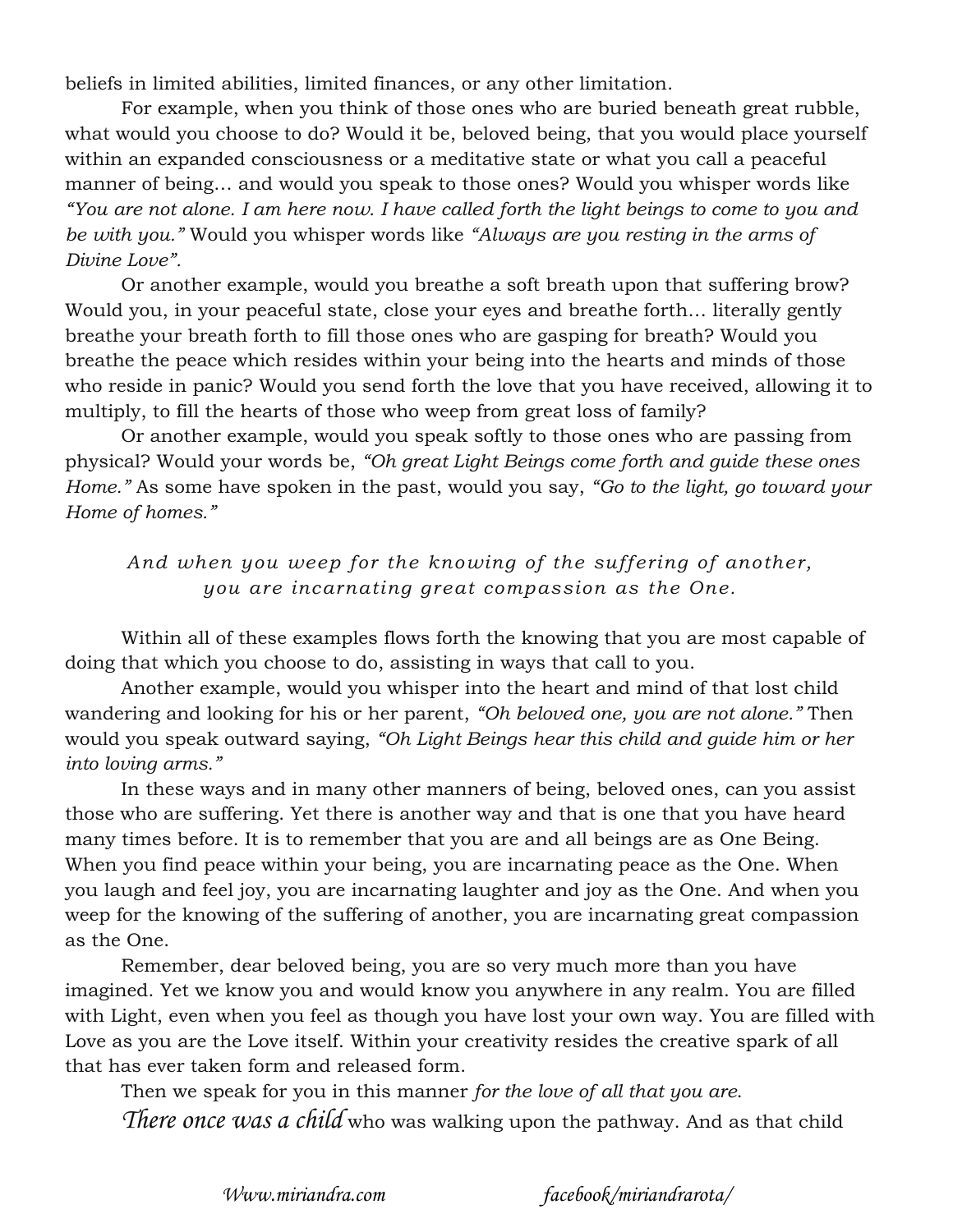beliefs in limited abilities, limited finances, or any other limitation.

For example, when you think of those ones who are buried beneath great rubble, what would you choose to do? Would it be, beloved being, that you would place yourself within an expanded consciousness or a meditative state or what you call a peaceful manner of being… and would you speak to those ones? Would you whisper words like *"You are not alone. I am here now. I have called forth the light beings to come to you and be with you."* Would you whisper words like *"Always are you resting in the arms of Divine Love".*

Or another example, would you breathe a soft breath upon that suffering brow? Would you, in your peaceful state, close your eyes and breathe forth… literally gently breathe your breath forth to fill those ones who are gasping for breath? Would you breathe the peace which resides within your being into the hearts and minds of those who reside in panic? Would you send forth the love that you have received, allowing it to multiply, to fill the hearts of those who weep from great loss of family?

Or another example, would you speak softly to those ones who are passing from physical? Would your words be, *"Oh great Light Beings come forth and guide these ones Home."* As some have spoken in the past, would you say, *"Go to the light, go toward your Home of homes."* 

*And when you weep for the knowing of the suffering of another, you are incarnating great compassion as the One.* 

Within all of these examples flows forth the knowing that you are most capable of doing that which you choose to do, assisting in ways that call to you.

Another example, would you whisper into the heart and mind of that lost child wandering and looking for his or her parent, *"Oh beloved one, you are not alone."* Then would you speak outward saying, *"Oh Light Beings hear this child and guide him or her into loving arms."* 

In these ways and in many other manners of being, beloved ones, can you assist those who are suffering. Yet there is another way and that is one that you have heard many times before. It is to remember that you are and all beings are as One Being. When you find peace within your being, you are incarnating peace as the One. When you laugh and feel joy, you are incarnating laughter and joy as the One. And when you weep for the knowing of the suffering of another, you are incarnating great compassion as the One.

Remember, dear beloved being, you are so very much more than you have imagined. Yet we know you and would know you anywhere in any realm. You are filled with Light, even when you feel as though you have lost your own way. You are filled with Love as you are the Love itself. Within your creativity resides the creative spark of all that has ever taken form and released form.

Then we speak for you in this manner *for the love of all that you are*.

*There once was a child* who was walking upon the pathway. And as that child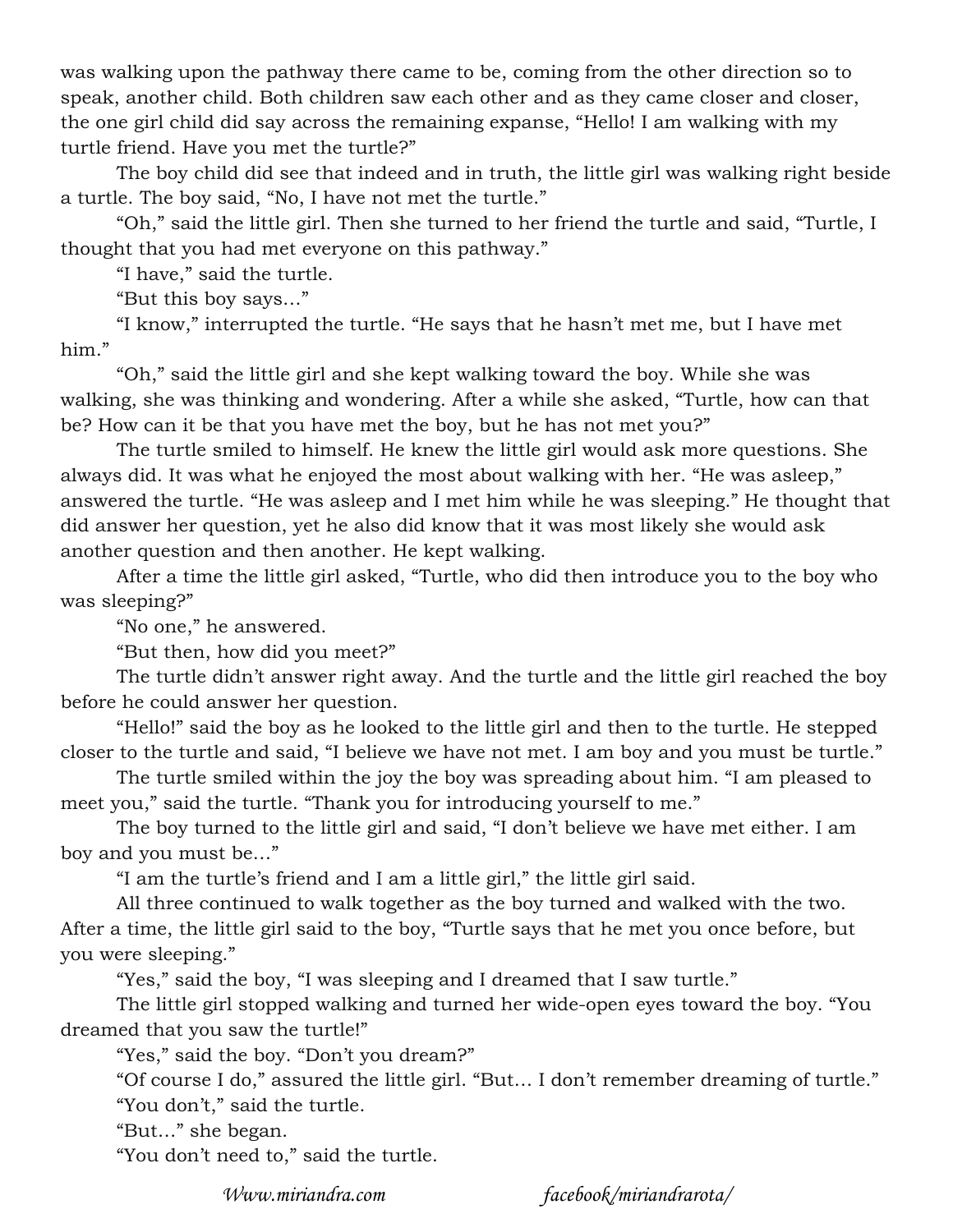was walking upon the pathway there came to be, coming from the other direction so to speak, another child. Both children saw each other and as they came closer and closer, the one girl child did say across the remaining expanse, "Hello! I am walking with my turtle friend. Have you met the turtle?"

The boy child did see that indeed and in truth, the little girl was walking right beside a turtle. The boy said, "No, I have not met the turtle."

"Oh," said the little girl. Then she turned to her friend the turtle and said, "Turtle, I thought that you had met everyone on this pathway."

"I have," said the turtle.

"But this boy says…"

"I know," interrupted the turtle. "He says that he hasn't met me, but I have met him."

"Oh," said the little girl and she kept walking toward the boy. While she was walking, she was thinking and wondering. After a while she asked, "Turtle, how can that be? How can it be that you have met the boy, but he has not met you?"

The turtle smiled to himself. He knew the little girl would ask more questions. She always did. It was what he enjoyed the most about walking with her. "He was asleep," answered the turtle. "He was asleep and I met him while he was sleeping." He thought that did answer her question, yet he also did know that it was most likely she would ask another question and then another. He kept walking.

After a time the little girl asked, "Turtle, who did then introduce you to the boy who was sleeping?"

"No one," he answered.

"But then, how did you meet?"

The turtle didn't answer right away. And the turtle and the little girl reached the boy before he could answer her question.

"Hello!" said the boy as he looked to the little girl and then to the turtle. He stepped closer to the turtle and said, "I believe we have not met. I am boy and you must be turtle."

The turtle smiled within the joy the boy was spreading about him. "I am pleased to meet you," said the turtle. "Thank you for introducing yourself to me."

The boy turned to the little girl and said, "I don't believe we have met either. I am boy and you must be…"

"I am the turtle's friend and I am a little girl," the little girl said.

All three continued to walk together as the boy turned and walked with the two. After a time, the little girl said to the boy, "Turtle says that he met you once before, but you were sleeping."

"Yes," said the boy, "I was sleeping and I dreamed that I saw turtle."

The little girl stopped walking and turned her wide-open eyes toward the boy. "You dreamed that you saw the turtle!"

"Yes," said the boy. "Don't you dream?"

"Of course I do," assured the little girl. "But… I don't remember dreaming of turtle."

"You don't," said the turtle.

"But…" she began.

"You don't need to," said the turtle.